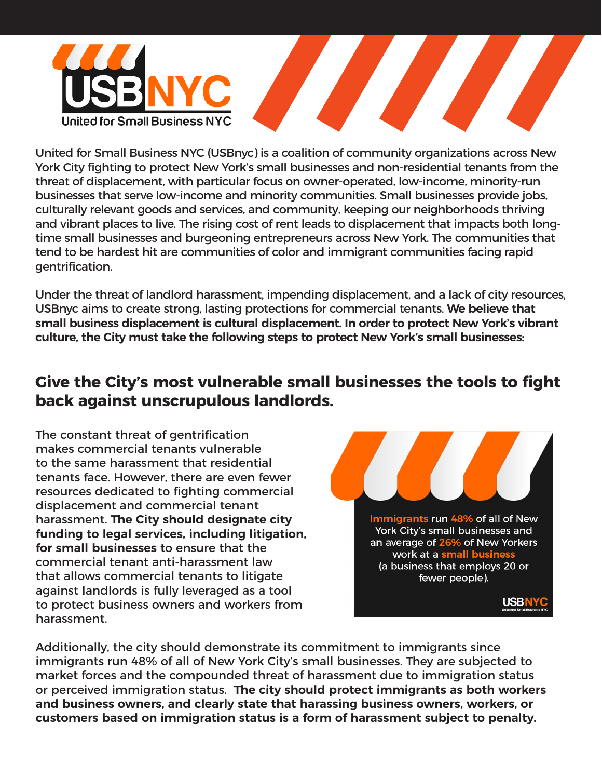

United for Small Business NYC (USBnyc) is a coalition of community organizations across New York City fighting to protect New York's small businesses and non-residential tenants from the threat of displacement, with particular focus on owner-operated, low-income, minority-run businesses that serve low-income and minority communities. Small businesses provide jobs, culturally relevant goods and services, and community, keeping our neighborhoods thriving and vibrant places to live. The rising cost of rent leads to displacement that impacts both longtime small businesses and burgeoning entrepreneurs across New York. The communities that tend to be hardest hit are communities of color and immigrant communities facing rapid gentrification.

Under the threat of landlord harassment, impending displacement, and a lack of city resources, USBnyc aims to create strong, lasting protections for commercial tenants. **We believe that small business displacement is cultural displacement. In order to protect New York's vibrant culture, the City must take the following steps to protect New York's small businesses:**

## **Give the City's most vulnerable small businesses the tools to fight back against unscrupulous landlords.**

The constant threat of gentrification makes commercial tenants vulnerable to the same harassment that residential tenants face. However, there are even fewer resources dedicated to fighting commercial displacement and commercial tenant harassment. **The City should designate city funding to legal services, including litigation, for small businesses** to ensure that the commercial tenant anti-harassment law that allows commercial tenants to litigate against landlords is fully leveraged as a tool to protect business owners and workers from harassment.



Additionally, the city should demonstrate its commitment to immigrants since immigrants run 48% of all of New York City's small businesses. They are subjected to market forces and the compounded threat of harassment due to immigration status or perceived immigration status. **The city should protect immigrants as both workers and business owners, and clearly state that harassing business owners, workers, or customers based on immigration status is a form of harassment subject to penalty.**